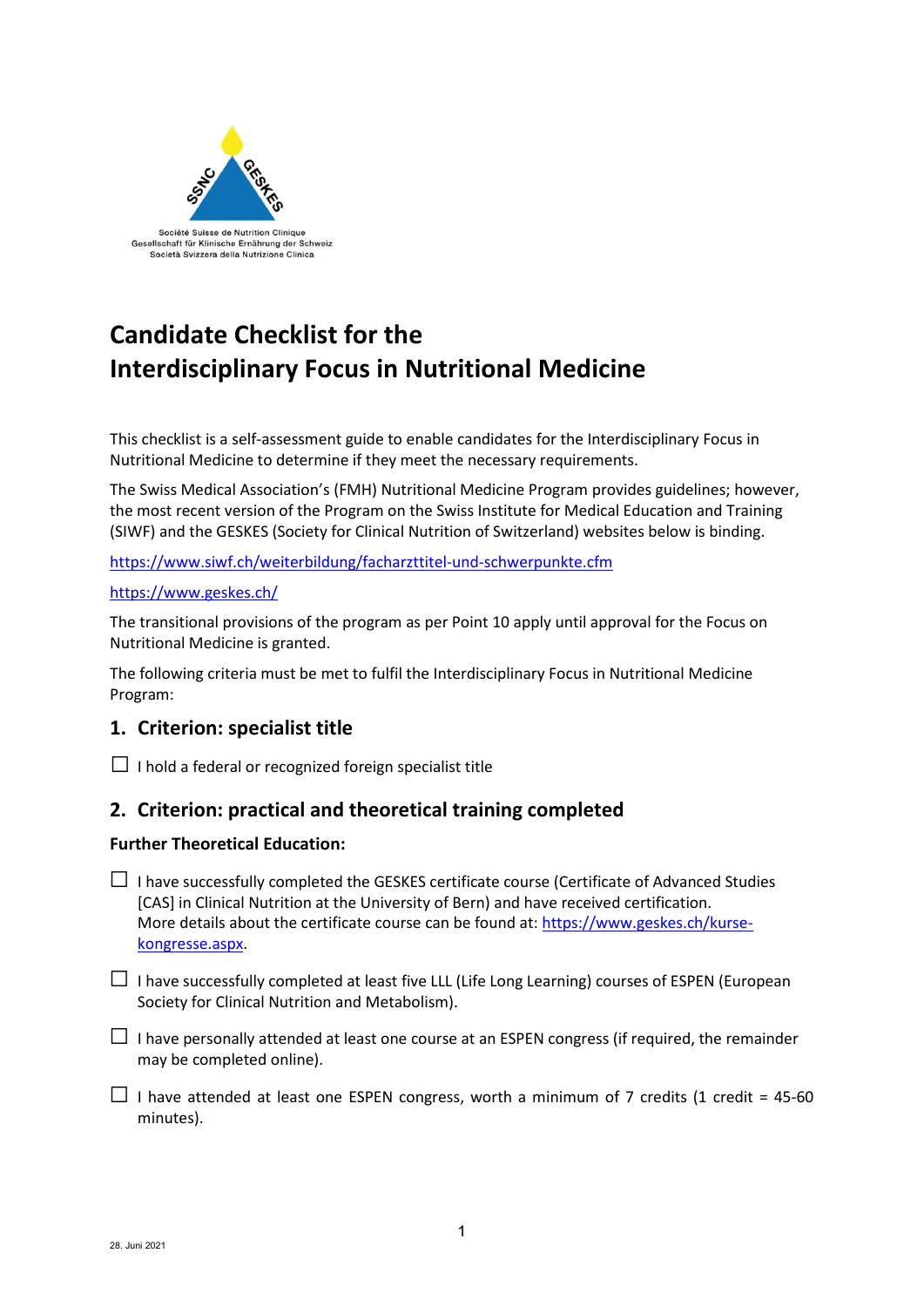

# **Candidate Checklist for the Interdisciplinary Focus in Nutritional Medicine**

This checklist is a self-assessment guide to enable candidates for the Interdisciplinary Focus in Nutritional Medicine to determine if they meet the necessary requirements.

The Swiss Medical Association's (FMH) Nutritional Medicine Program provides guidelines; however, the most recent version of the Program on the Swiss Institute for Medical Education and Training (SIWF) and the GESKES (Society for Clinical Nutrition of Switzerland) websites below is binding.

<https://www.siwf.ch/weiterbildung/facharzttitel-und-schwerpunkte.cfm>

## [https://www.geskes.ch/](https://www.geskes.ch/kurse-kongresse.aspx)

The transitional provisions of the program as per Point 10 apply until approval for the Focus on Nutritional Medicine is granted.

The following criteria must be met to fulfil the Interdisciplinary Focus in Nutritional Medicine Program:

# **1. Criterion: specialist title**

 $\Box$  I hold a federal or recognized foreign specialist title

# **2. Criterion: practical and theoretical training completed**

## **Further Theoretical Education:**

- $\Box$  I have successfully completed the GESKES certificate course (Certificate of Advanced Studies [CAS] in Clinical Nutrition at the University of Bern) and have received certification. More details about the certificate course can be found at: https://www.geskes.ch/kursekongresse.aspx.
- $\Box$  I have successfully completed at least five LLL (Life Long Learning) courses of ESPEN (European Society for Clinical Nutrition and Metabolism).
- $\Box$  I have personally attended at least one course at an ESPEN congress (if required, the remainder may be completed online).
- $\Box$  I have attended at least one ESPEN congress, worth a minimum of 7 credits (1 credit = 45-60 minutes).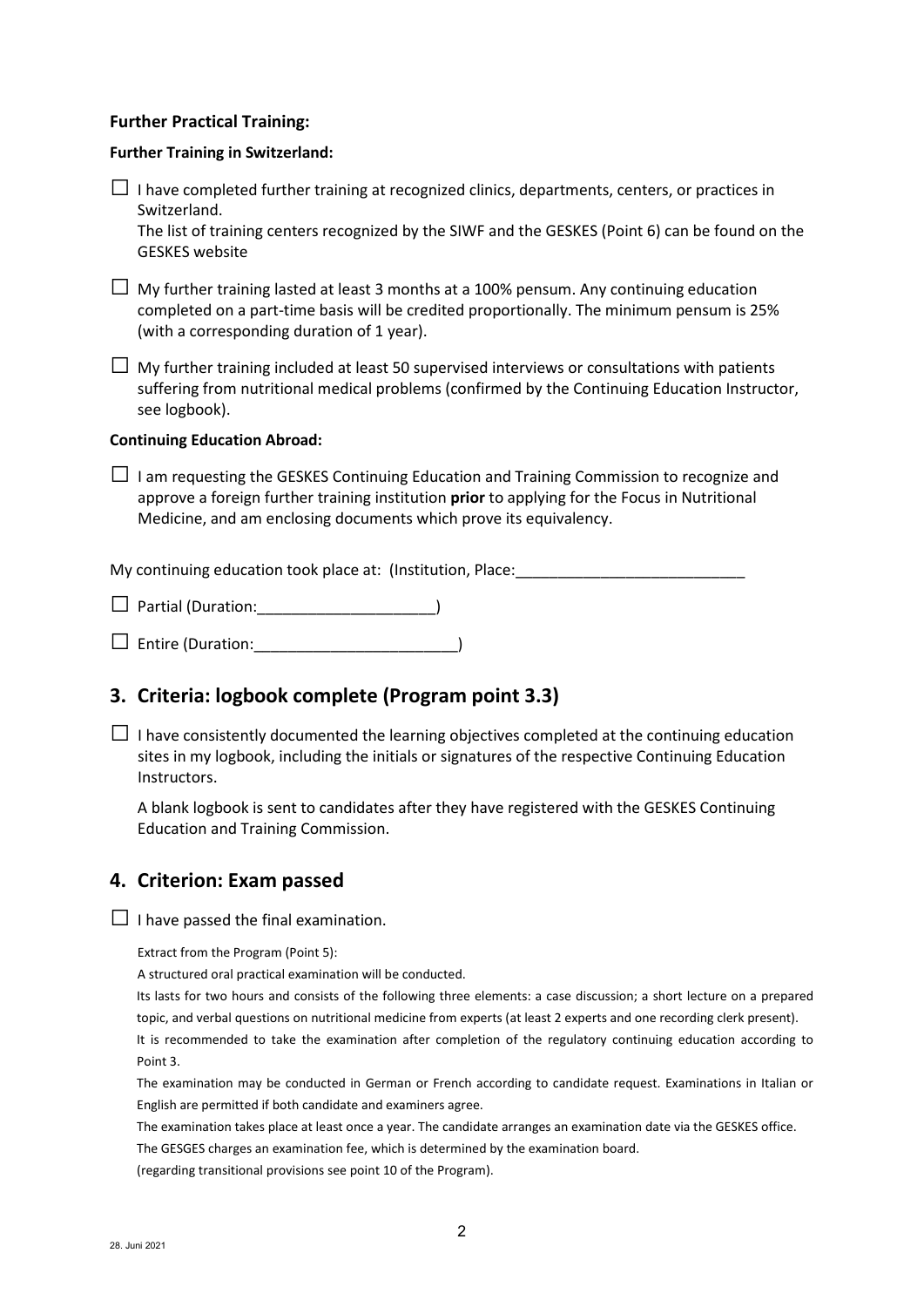### **Further Practical Training:**

#### **Further Training in Switzerland:**

| $\Box$ I have completed further training at recognized clinics, departments, centers, or practices in |
|-------------------------------------------------------------------------------------------------------|
| Switzerland.                                                                                          |

The list of training centers recognized by the SIWF and the GESKES (Point 6) can be found on the GESKES website

| $\Box$ My further training lasted at least 3 months at a 100% pensum. Any continuing education |
|------------------------------------------------------------------------------------------------|
| completed on a part-time basis will be credited proportionally. The minimum pensum is 25%      |
| (with a corresponding duration of 1 year).                                                     |

 $\Box$  My further training included at least 50 supervised interviews or consultations with patients suffering from nutritional medical problems (confirmed by the Continuing Education Instructor, see logbook).

#### **Continuing Education Abroad:**

 $\Box$  I am requesting the GESKES Continuing Education and Training Commission to recognize and approve a foreign further training institution **prior** to applying for the Focus in Nutritional Medicine, and am enclosing documents which prove its equivalency.

My continuing education took place at: (Institution, Place:

 $\Box$  Partial (Duration:

□ Entire (Duration:\_\_\_\_\_\_\_\_\_\_\_\_\_\_\_\_\_\_\_\_\_\_\_\_)

# **3. Criteria: logbook complete (Program point 3.3)**

 $\Box$  I have consistently documented the learning objectives completed at the continuing education sites in my logbook, including the initials or signatures of the respective Continuing Education Instructors.

A blank logbook is sent to candidates after they have registered with the GESKES Continuing Education and Training Commission.

## **4. Criterion: Exam passed**

 $\Box$  I have passed the final examination.

Extract from the Program (Point 5):

A structured oral practical examination will be conducted.

Its lasts for two hours and consists of the following three elements: a case discussion; a short lecture on a prepared topic, and verbal questions on nutritional medicine from experts (at least 2 experts and one recording clerk present).

It is recommended to take the examination after completion of the regulatory continuing education according to Point 3.

The examination may be conducted in German or French according to candidate request. Examinations in Italian or English are permitted if both candidate and examiners agree.

The examination takes place at least once a year. The candidate arranges an examination date via the GESKES office.

The GESGES charges an examination fee, which is determined by the examination board.

(regarding transitional provisions see point 10 of the Program).